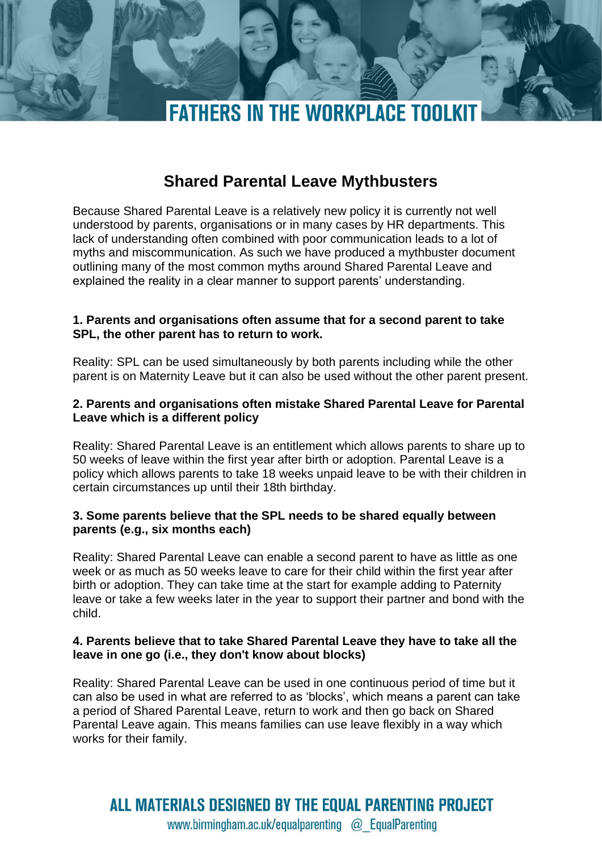

# **Shared Parental Leave Mythbusters**

Because Shared Parental Leave is a relatively new policy it is currently not well understood by parents, organisations or in many cases by HR departments. This lack of understanding often combined with poor communication leads to a lot of myths and miscommunication. As such we have produced a mythbuster document outlining many of the most common myths around Shared Parental Leave and explained the reality in a clear manner to support parents' understanding.

### **1. Parents and organisations often assume that for a second parent to take SPL, the other parent has to return to work.**

Reality: SPL can be used simultaneously by both parents including while the other parent is on Maternity Leave but it can also be used without the other parent present.

# **2. Parents and organisations often mistake Shared Parental Leave for Parental Leave which is a different policy**

Reality: Shared Parental Leave is an entitlement which allows parents to share up to 50 weeks of leave within the first year after birth or adoption. Parental Leave is a policy which allows parents to take 18 weeks unpaid leave to be with their children in certain circumstances up until their 18th birthday.

#### **3. Some parents believe that the SPL needs to be shared equally between parents (e.g., six months each)**

Reality: Shared Parental Leave can enable a second parent to have as little as one week or as much as 50 weeks leave to care for their child within the first year after birth or adoption. They can take time at the start for example adding to Paternity leave or take a few weeks later in the year to support their partner and bond with the child.

# **4. Parents believe that to take Shared Parental Leave they have to take all the leave in one go (i.e., they don't know about blocks)**

Reality: Shared Parental Leave can be used in one continuous period of time but it can also be used in what are referred to as 'blocks', which means a parent can take a period of Shared Parental Leave, return to work and then go back on Shared Parental Leave again. This means families can use leave flexibly in a way which works for their family.